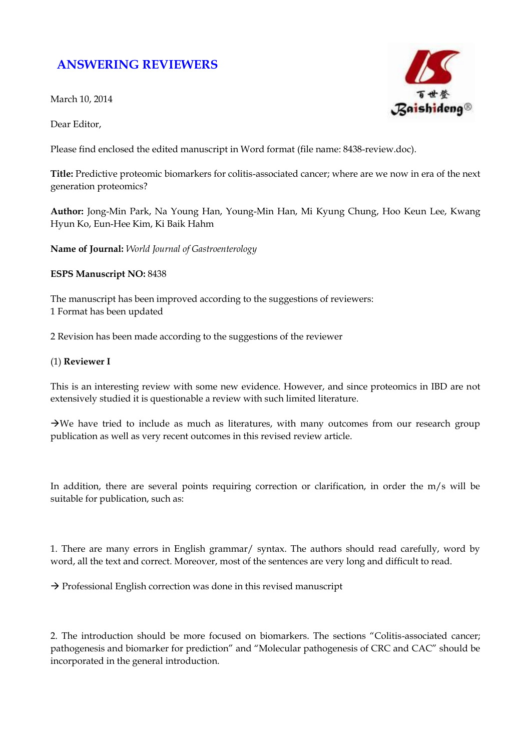## **ANSWERING REVIEWERS**

March 10, 2014

Dear Editor,

Please find enclosed the edited manuscript in Word format (file name: 8438-review.doc).

**Title:** Predictive proteomic biomarkers for colitis-associated cancer; where are we now in era of the next generation proteomics?

**Author:** Jong-Min Park, Na Young Han, Young-Min Han, Mi Kyung Chung, Hoo Keun Lee, Kwang Hyun Ko, Eun-Hee Kim, Ki Baik Hahm

**Name of Journal:** *World Journal of Gastroenterology*

## **ESPS Manuscript NO:** 8438

The manuscript has been improved according to the suggestions of reviewers: 1 Format has been updated

2 Revision has been made according to the suggestions of the reviewer

## (1) **Reviewer I**

This is an interesting review with some new evidence. However, and since proteomics in IBD are not extensively studied it is questionable a review with such limited literature.

 $\rightarrow$ We have tried to include as much as literatures, with many outcomes from our research group publication as well as very recent outcomes in this revised review article.

In addition, there are several points requiring correction or clarification, in order the m/s will be suitable for publication, such as:

1. There are many errors in English grammar/ syntax. The authors should read carefully, word by word, all the text and correct. Moreover, most of the sentences are very long and difficult to read.

 $\rightarrow$  Professional English correction was done in this revised manuscript

2. The introduction should be more focused on biomarkers. The sections "Colitis-associated cancer; pathogenesis and biomarker for prediction" and "Molecular pathogenesis of CRC and CAC" should be incorporated in the general introduction.

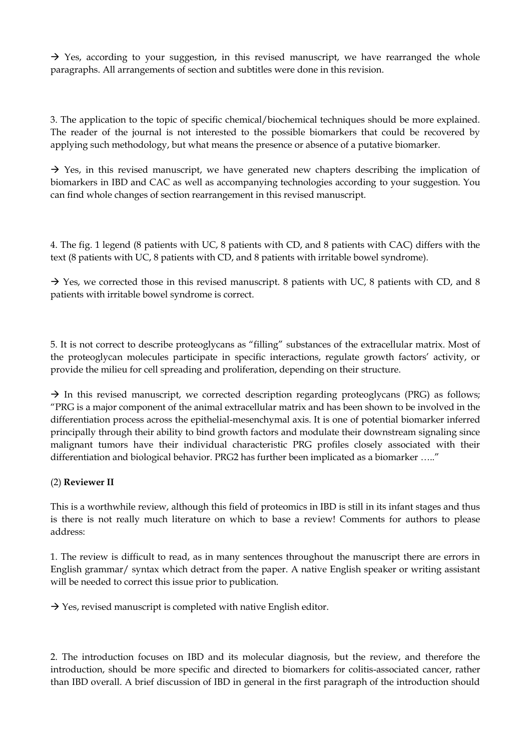$\rightarrow$  Yes, according to your suggestion, in this revised manuscript, we have rearranged the whole paragraphs. All arrangements of section and subtitles were done in this revision.

3. The application to the topic of specific chemical/biochemical techniques should be more explained. The reader of the journal is not interested to the possible biomarkers that could be recovered by applying such methodology, but what means the presence or absence of a putative biomarker.

 $\rightarrow$  Yes, in this revised manuscript, we have generated new chapters describing the implication of biomarkers in IBD and CAC as well as accompanying technologies according to your suggestion. You can find whole changes of section rearrangement in this revised manuscript.

4. The fig. 1 legend (8 patients with UC, 8 patients with CD, and 8 patients with CAC) differs with the text (8 patients with UC, 8 patients with CD, and 8 patients with irritable bowel syndrome).

 $\rightarrow$  Yes, we corrected those in this revised manuscript. 8 patients with UC, 8 patients with CD, and 8 patients with irritable bowel syndrome is correct.

5. It is not correct to describe proteoglycans as "filling" substances of the extracellular matrix. Most of the proteoglycan molecules participate in specific interactions, regulate growth factors' activity, or provide the milieu for cell spreading and proliferation, depending on their structure.

 $\rightarrow$  In this revised manuscript, we corrected description regarding proteoglycans (PRG) as follows; "PRG is a major component of the animal extracellular matrix and has been shown to be involved in the differentiation process across the epithelial-mesenchymal axis. It is one of potential biomarker inferred principally through their ability to bind growth factors and modulate their downstream signaling since malignant tumors have their individual characteristic PRG profiles closely associated with their differentiation and biological behavior. PRG2 has further been implicated as a biomarker ….."

## (2) **Reviewer II**

This is a worthwhile review, although this field of proteomics in IBD is still in its infant stages and thus is there is not really much literature on which to base a review! Comments for authors to please address:

1. The review is difficult to read, as in many sentences throughout the manuscript there are errors in English grammar/ syntax which detract from the paper. A native English speaker or writing assistant will be needed to correct this issue prior to publication.

 $\rightarrow$  Yes, revised manuscript is completed with native English editor.

2. The introduction focuses on IBD and its molecular diagnosis, but the review, and therefore the introduction, should be more specific and directed to biomarkers for colitis-associated cancer, rather than IBD overall. A brief discussion of IBD in general in the first paragraph of the introduction should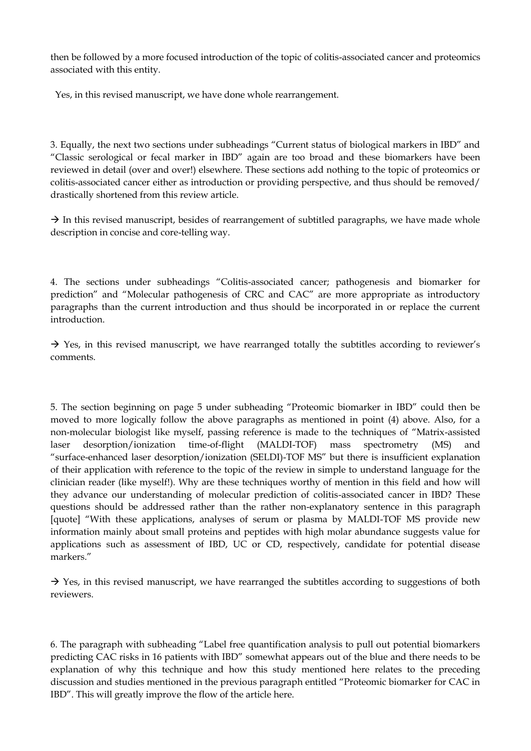then be followed by a more focused introduction of the topic of colitis-associated cancer and proteomics associated with this entity.

Yes, in this revised manuscript, we have done whole rearrangement.

3. Equally, the next two sections under subheadings "Current status of biological markers in IBD" and "Classic serological or fecal marker in IBD" again are too broad and these biomarkers have been reviewed in detail (over and over!) elsewhere. These sections add nothing to the topic of proteomics or colitis-associated cancer either as introduction or providing perspective, and thus should be removed/ drastically shortened from this review article.

 $\rightarrow$  In this revised manuscript, besides of rearrangement of subtitled paragraphs, we have made whole description in concise and core-telling way.

4. The sections under subheadings "Colitis-associated cancer; pathogenesis and biomarker for prediction" and "Molecular pathogenesis of CRC and CAC" are more appropriate as introductory paragraphs than the current introduction and thus should be incorporated in or replace the current introduction.

 $\rightarrow$  Yes, in this revised manuscript, we have rearranged totally the subtitles according to reviewer's comments.

5. The section beginning on page 5 under subheading "Proteomic biomarker in IBD" could then be moved to more logically follow the above paragraphs as mentioned in point (4) above. Also, for a non-molecular biologist like myself, passing reference is made to the techniques of "Matrix-assisted laser desorption/ionization time-of-flight (MALDI-TOF) mass spectrometry (MS) and "surface-enhanced laser desorption/ionization (SELDI)-TOF MS" but there is insufficient explanation of their application with reference to the topic of the review in simple to understand language for the clinician reader (like myself!). Why are these techniques worthy of mention in this field and how will they advance our understanding of molecular prediction of colitis-associated cancer in IBD? These questions should be addressed rather than the rather non-explanatory sentence in this paragraph [quote] "With these applications, analyses of serum or plasma by MALDI-TOF MS provide new information mainly about small proteins and peptides with high molar abundance suggests value for applications such as assessment of IBD, UC or CD, respectively, candidate for potential disease markers."

 $\rightarrow$  Yes, in this revised manuscript, we have rearranged the subtitles according to suggestions of both reviewers.

6. The paragraph with subheading "Label free quantification analysis to pull out potential biomarkers predicting CAC risks in 16 patients with IBD" somewhat appears out of the blue and there needs to be explanation of why this technique and how this study mentioned here relates to the preceding discussion and studies mentioned in the previous paragraph entitled "Proteomic biomarker for CAC in IBD". This will greatly improve the flow of the article here.